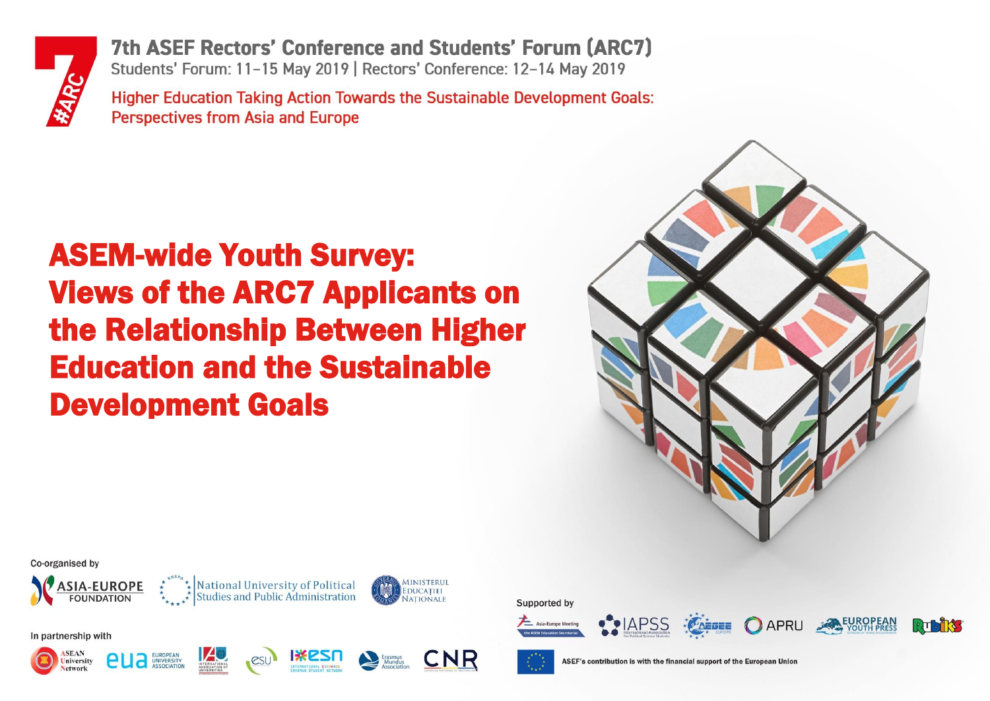

Co-organised by

In partnership with

Iniversity

**ASIA-EUROPE** 

**FOUNDATION** 

EUROPEAN<br>UNIVERSITY

7th ASEF Rectors' Conference and Students' Forum (ARC7) Students' Forum: 11-15 May 2019 | Rectors' Conference: 12-14 May 2019

**Higher Education Taking Action Towards the Sustainable Development Goals: Perspectives from Asia and Europe** 

# ASEM-wide Youth Survey: Views of the ARC7 Applicants on the Relationship Between Higher Education and the Sustainable Development Goals



 $\Gamma$   $\Gamma$   $\Gamma$   $\Gamma$ 

Supported by









EDUCATIEL

National University of Political<br>Studies and Public Administration



CNR

ASEF's contribution is with the financial support of the European Unior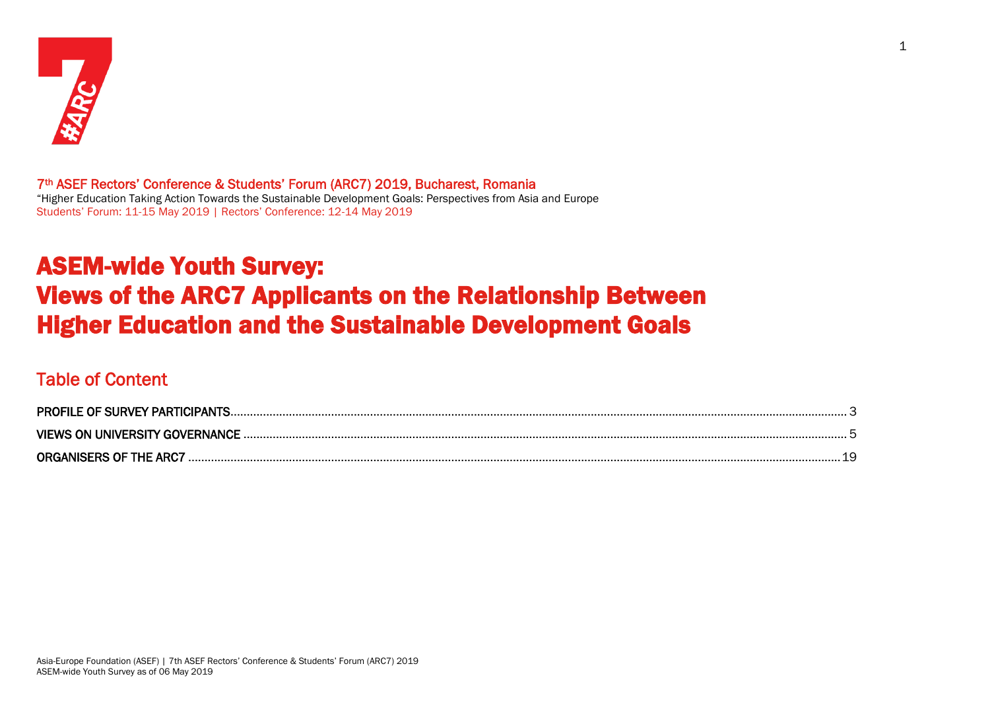

7th ASEF Rectors' Conference & Students' Forum (ARC7) 2019, Bucharest, Romania "Higher Education Taking Action Towards the Sustainable Development Goals: Perspectives from Asia and Europe Students' Forum: 11-15 May 2019 | Rectors' Conference: 12-14 May 2019

## ASEM-wide Youth Survey: Views of the ARC7 Applicants on the Relationship Between Higher Education and the Sustainable Development Goals

## Table of Content

| <b>PROFILE OF SURVEY PARTICIPANTS</b> |   |
|---------------------------------------|---|
| <b>VIEWS ON UNIVERSITY GOVERNANCE</b> |   |
| <b>ORGANISERS OF THE ARCT</b>         | u |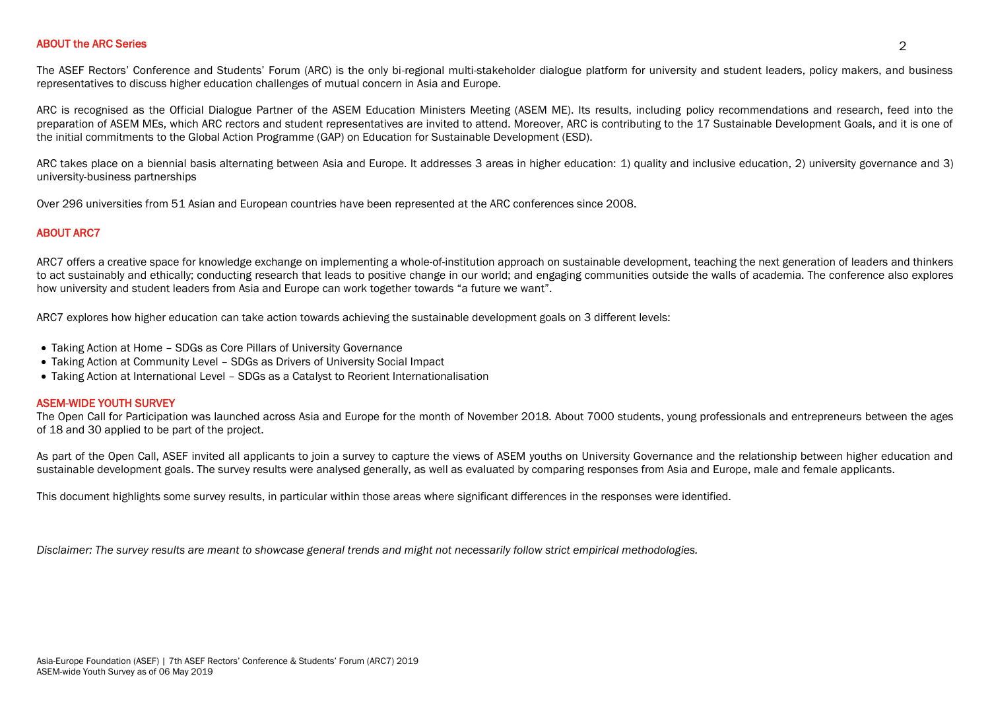## ABOUT the ARC Series 2

The ASEF Rectors' Conference and Students' Forum (ARC) is the only bi-regional multi-stakeholder dialogue platform for university and student leaders, policy makers, and business representatives to discuss higher education challenges of mutual concern in Asia and Europe.

ARC is recognised as the Official Dialogue Partner of the ASEM Education Ministers Meeting (ASEM ME). Its results, including policy recommendations and research, feed into the preparation of ASEM MEs, which ARC rectors and student representatives are invited to attend. Moreover, ARC is contributing to the 17 Sustainable Development Goals, and it is one of the initial commitments to the Global Action Programme (GAP) on Education for Sustainable Development (ESD).

ARC takes place on a biennial basis alternating between Asia and Europe. It addresses 3 areas in higher education: 1) quality and inclusive education, 2) university governance and 3) university-business partnerships

Over 296 universities from 51 Asian and European countries have been represented at the ARC conferences since 2008.

#### ABOUT ARC7

ARC7 offers a creative space for knowledge exchange on implementing a whole-of-institution approach on sustainable development, teaching the next generation of leaders and thinkers to act sustainably and ethically; conducting research that leads to positive change in our world; and engaging communities outside the walls of academia. The conference also explores how university and student leaders from Asia and Europe can work together towards "a future we want".

ARC7 explores how higher education can take action towards achieving the sustainable development goals on 3 different levels:

- Taking Action at Home SDGs as Core Pillars of University Governance
- Taking Action at Community Level SDGs as Drivers of University Social Impact
- Taking Action at International Level SDGs as a Catalyst to Reorient Internationalisation

#### ASEM-WIDE YOUTH SURVEY

The Open Call for Participation was launched across Asia and Europe for the month of November 2018. About 7000 students, young professionals and entrepreneurs between the ages of 18 and 30 applied to be part of the project.

As part of the Open Call, ASEF invited all applicants to join a survey to capture the views of ASEM youths on University Governance and the relationship between higher education and sustainable development goals. The survey results were analysed generally, as well as evaluated by comparing responses from Asia and Europe, male and female applicants.

This document highlights some survey results, in particular within those areas where significant differences in the responses were identified.

*Disclaimer: The survey results are meant to showcase general trends and might not necessarily follow strict empirical methodologies.*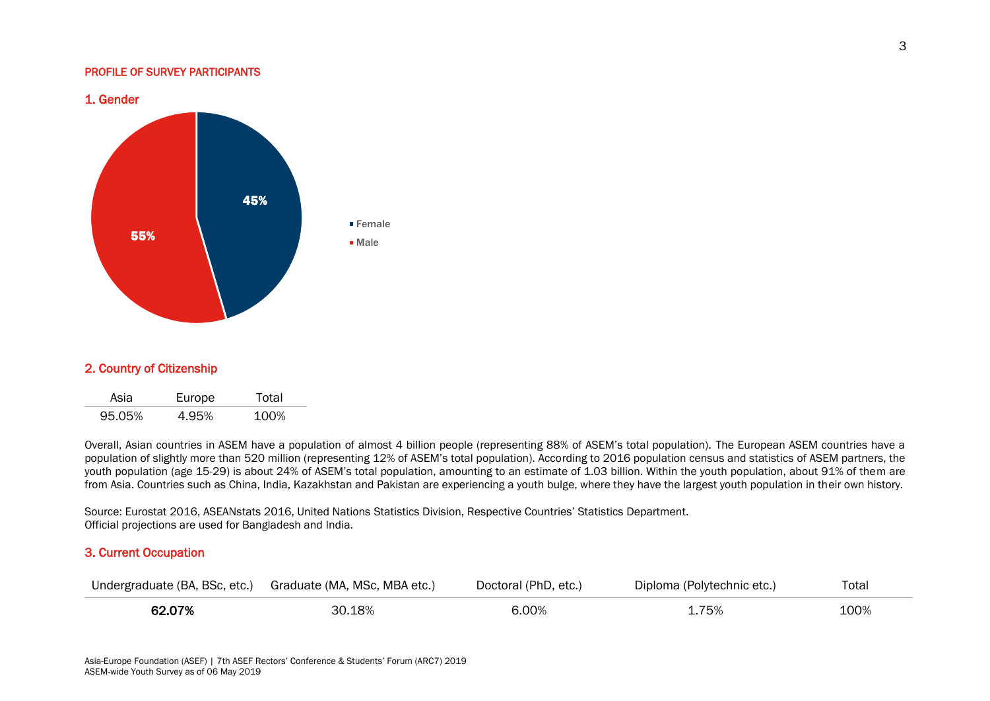#### <span id="page-3-0"></span>PROFILE OF SURVEY PARTICIPANTS



## 2. Country of Citizenship

| Asia   | Europe | Total |
|--------|--------|-------|
| 95.05% | 4.95%  | 100%  |

Overall, Asian countries in ASEM have a population of almost 4 billion people (representing 88% of ASEM's total population). The European ASEM countries have a population of slightly more than 520 million (representing 12% of ASEM's total population). According to 2016 population census and statistics of ASEM partners, the youth population (age 15-29) is about 24% of ASEM's total population, amounting to an estimate of 1.03 billion. Within the youth population, about 91% of them are from Asia. Countries such as China, India, Kazakhstan and Pakistan are experiencing a youth bulge, where they have the largest youth population in their own history.

Source: Eurostat 2016, ASEANstats 2016, United Nations Statistics Division, Respective Countries' Statistics Department. Official projections are used for Bangladesh and India.

## 3. Current Occupation

|        | Undergraduate (BA, BSc, etc.) Graduate (MA, MSc, MBA etc.) | Doctoral (PhD, etc.) | Diploma (Polytechnic etc.) | Total |
|--------|------------------------------------------------------------|----------------------|----------------------------|-------|
| 62.07% | 30.18%                                                     | 6.00%                | <b>1.75%</b>               | 100%  |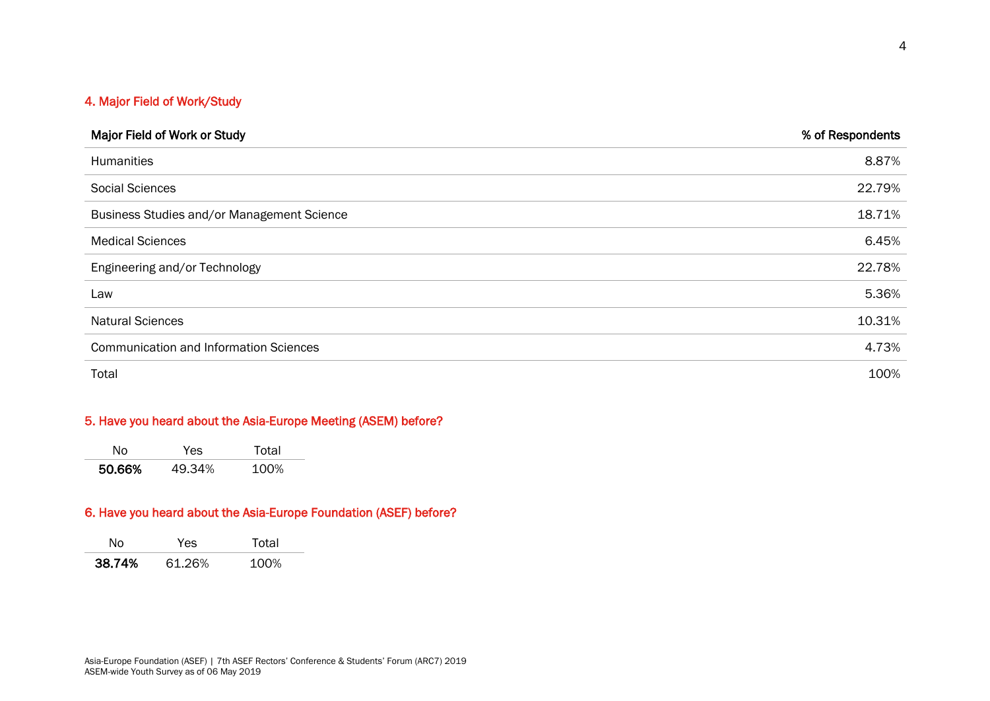## 4. Major Field of Work/Study

| Major Field of Work or Study                  | % of Respondents |
|-----------------------------------------------|------------------|
| <b>Humanities</b>                             | 8.87%            |
| <b>Social Sciences</b>                        | 22.79%           |
| Business Studies and/or Management Science    | 18.71%           |
| <b>Medical Sciences</b>                       | 6.45%            |
| Engineering and/or Technology                 | 22.78%           |
| Law                                           | 5.36%            |
| <b>Natural Sciences</b>                       | 10.31%           |
| <b>Communication and Information Sciences</b> | 4.73%            |
| Total                                         | 100%             |

## 5. Have you heard about the Asia-Europe Meeting (ASEM) before?

|        | -5 | `al          |
|--------|----|--------------|
| 50.66% |    | ገባረ<br>7 L L |

## 6. Have you heard about the Asia-Europe Foundation (ASEF) before?

<span id="page-4-0"></span>

|        | Y es   | ่า†ลI    |
|--------|--------|----------|
| 38.74% | 61.26% | 100 $\%$ |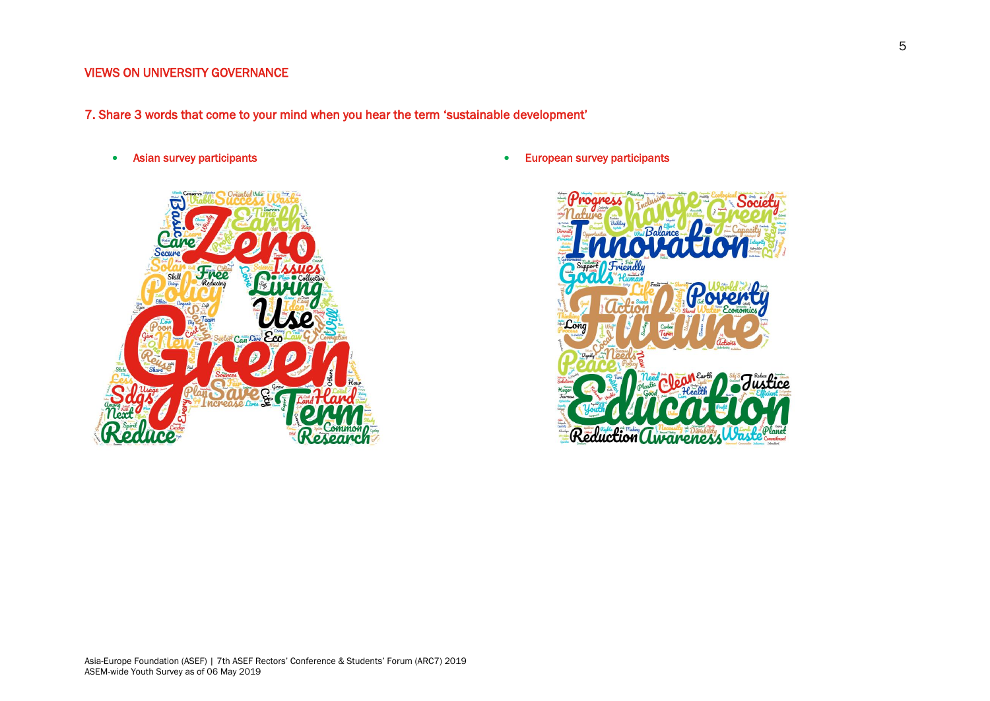## VIEWS ON UNIVERSITY GOVERNANCE

- 7. Share 3 words that come to your mind when you hear the term 'sustainable development'
	- Asian survey participants



• European survey participants

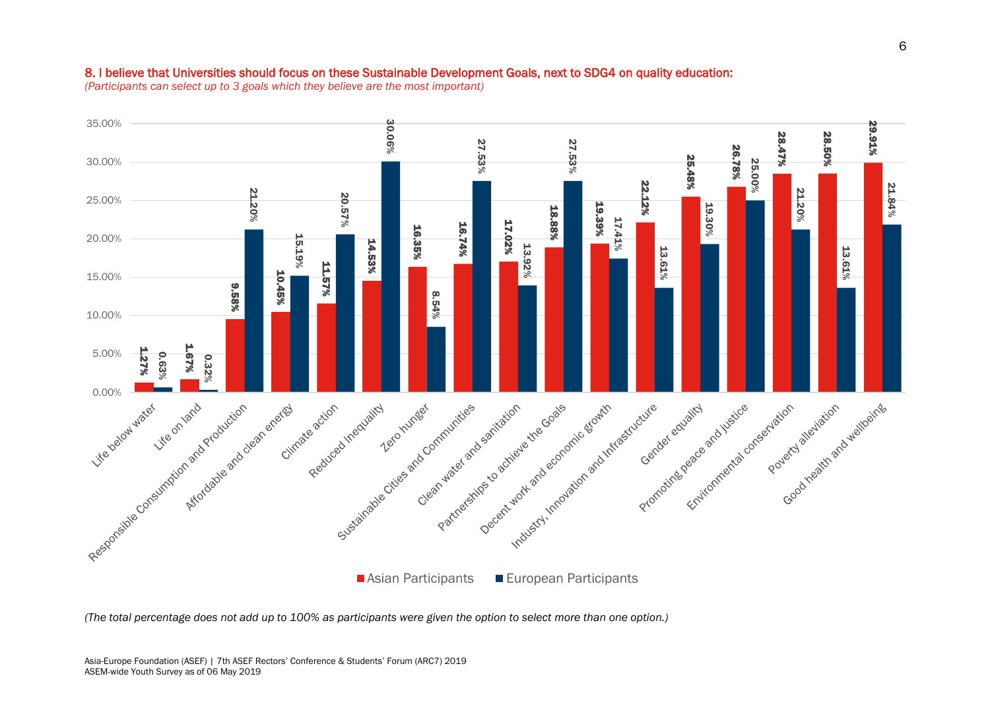## 8. I believe that Universities should focus on these Sustainable Development Goals, next to SDG4 on quality education:

*(Participants can select up to 3 goals which they believe are the most important)*

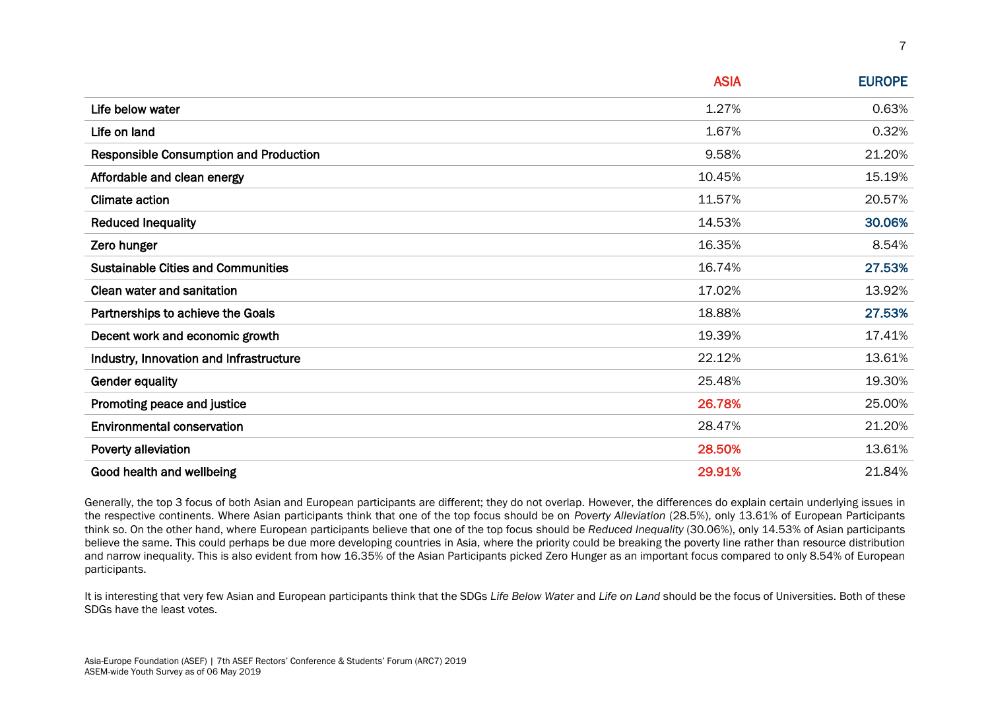|                                               | <b>ASIA</b> | <b>EUROPE</b> |
|-----------------------------------------------|-------------|---------------|
| Life below water                              | 1.27%       | 0.63%         |
| Life on land                                  | 1.67%       | 0.32%         |
| <b>Responsible Consumption and Production</b> | 9.58%       | 21.20%        |
| Affordable and clean energy                   | 10.45%      | 15.19%        |
| <b>Climate action</b>                         | 11.57%      | 20.57%        |
| <b>Reduced Inequality</b>                     | 14.53%      | 30.06%        |
| Zero hunger                                   | 16.35%      | 8.54%         |
| <b>Sustainable Cities and Communities</b>     | 16.74%      | 27.53%        |
| Clean water and sanitation                    | 17.02%      | 13.92%        |
| Partnerships to achieve the Goals             | 18.88%      | 27.53%        |
| Decent work and economic growth               | 19.39%      | 17.41%        |
| Industry, Innovation and Infrastructure       | 22.12%      | 13.61%        |
| <b>Gender equality</b>                        | 25.48%      | 19.30%        |
| Promoting peace and justice                   | 26.78%      | 25.00%        |
| <b>Environmental conservation</b>             | 28.47%      | 21.20%        |
| Poverty alleviation                           | 28.50%      | 13.61%        |
| Good health and wellbeing                     | 29.91%      | 21.84%        |

Generally, the top 3 focus of both Asian and European participants are different; they do not overlap. However, the differences do explain certain underlying issues in the respective continents. Where Asian participants think that one of the top focus should be on *Poverty Alleviation* (28.5%), only 13.61% of European Participants think so. On the other hand, where European participants believe that one of the top focus should be *Reduced Inequality* (30.06%), only 14.53% of Asian participants believe the same. This could perhaps be due more developing countries in Asia, where the priority could be breaking the poverty line rather than resource distribution and narrow inequality. This is also evident from how 16.35% of the Asian Participants picked Zero Hunger as an important focus compared to only 8.54% of European participants.

It is interesting that very few Asian and European participants think that the SDGs *Life Below Water* and *Life on Land* should be the focus of Universities. Both of these SDGs have the least votes.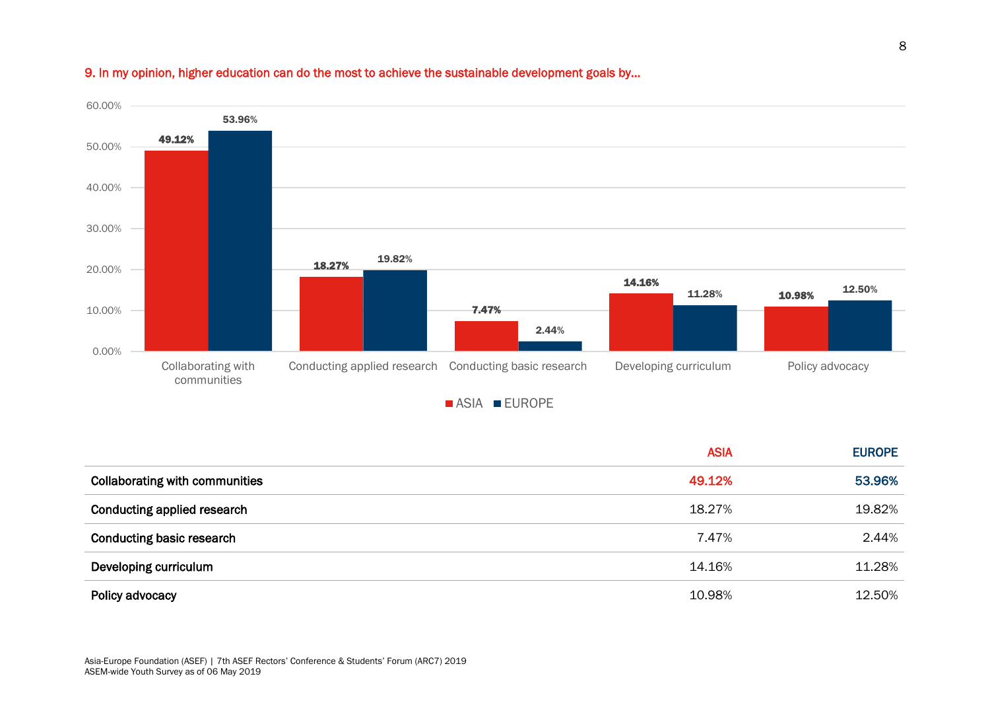

## 9. In my opinion, higher education can do the most to achieve the sustainable development goals by...

|                                       | <b>ASIA</b> | <b>EUROPE</b> |
|---------------------------------------|-------------|---------------|
| <b>Collaborating with communities</b> | 49.12%      | 53.96%        |
| Conducting applied research           | 18.27%      | 19.82%        |
| <b>Conducting basic research</b>      | 7.47%       | 2.44%         |
| Developing curriculum                 | 14.16%      | 11.28%        |
| Policy advocacy                       | 10.98%      | 12.50%        |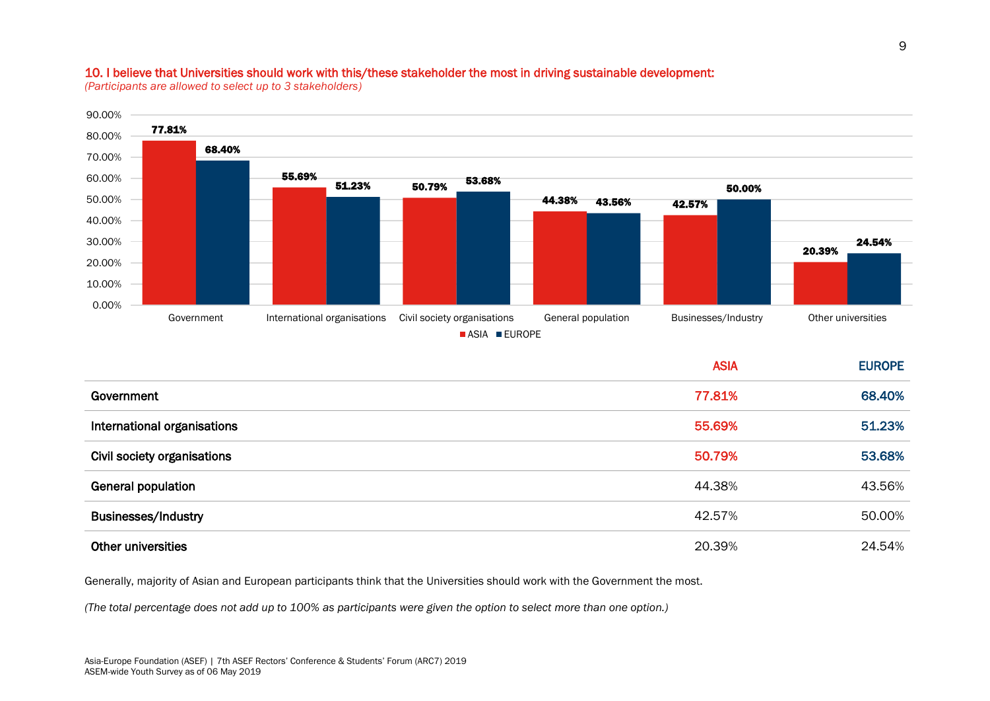### 10. I believe that Universities should work with this/these stakeholder the most in driving sustainable development:

*(Participants are allowed to select up to 3 stakeholders)*



|                             | <b>ASIA</b> | <b>EUROPE</b> |
|-----------------------------|-------------|---------------|
| Government                  | 77.81%      | 68.40%        |
| International organisations | 55.69%      | 51.23%        |
| Civil society organisations | 50.79%      | 53.68%        |
| <b>General population</b>   | 44.38%      | 43.56%        |
| <b>Businesses/Industry</b>  | 42.57%      | 50.00%        |
| <b>Other universities</b>   | 20.39%      | 24.54%        |

Generally, majority of Asian and European participants think that the Universities should work with the Government the most.

*(The total percentage does not add up to 100% as participants were given the option to select more than one option.)*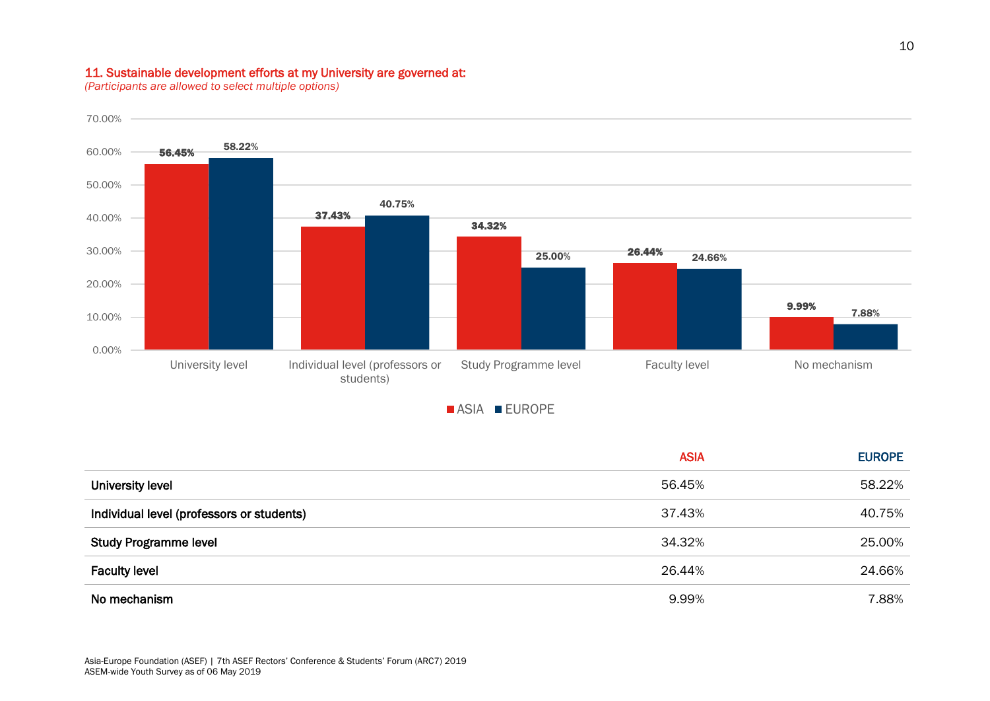## 11. Sustainable development efforts at my University are governed at:

*(Participants are allowed to select multiple options)*



**ASIA EUROPE** 

|                                           | <b>ASIA</b> | <b>EUROPE</b> |
|-------------------------------------------|-------------|---------------|
| University level                          | 56.45%      | 58.22%        |
| Individual level (professors or students) | 37.43%      | 40.75%        |
| <b>Study Programme level</b>              | 34.32%      | 25.00%        |
| <b>Faculty level</b>                      | 26.44%      | 24.66%        |
| No mechanism                              | 9.99%       | 7.88%         |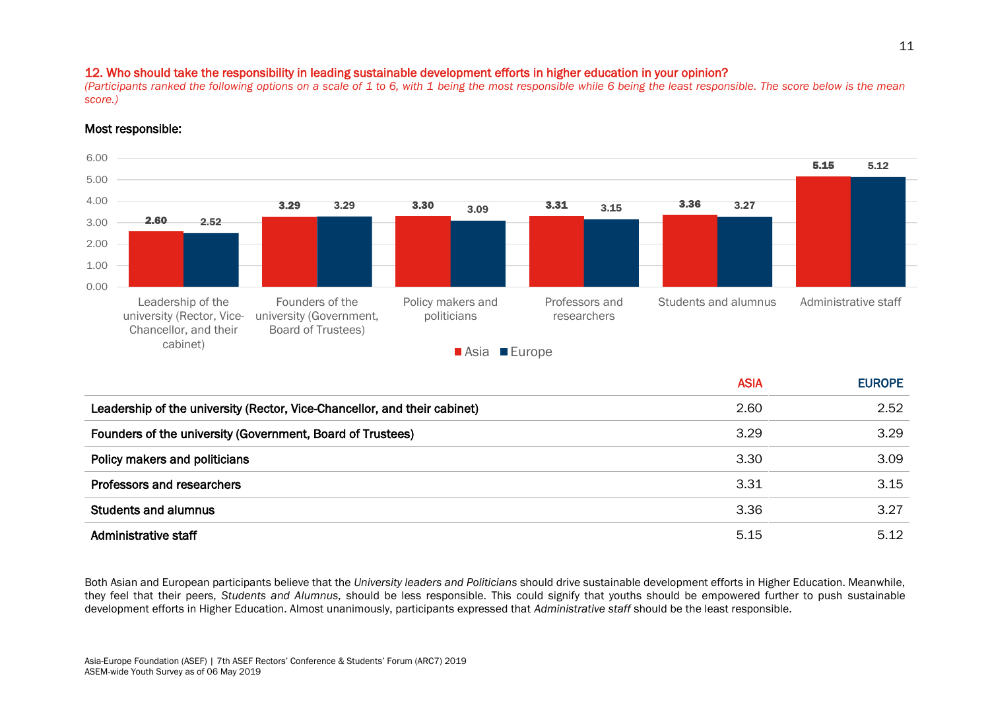## 12. Who should take the responsibility in leading sustainable development efforts in higher education in your opinion?

*(Participants ranked the following options on a scale of 1 to 6, with 1 being the most responsible while 6 being the least responsible. The score below is the mean score.)*

## Most responsible:



|                                                                           | <b>ASIA</b> | <b>EUROPE</b> |
|---------------------------------------------------------------------------|-------------|---------------|
| Leadership of the university (Rector, Vice-Chancellor, and their cabinet) | 2.60        | 2.52          |
| Founders of the university (Government, Board of Trustees)                | 3.29        | 3.29          |
| Policy makers and politicians                                             | 3.30        | 3.09          |
| Professors and researchers                                                | 3.31        | 3.15          |
| <b>Students and alumnus</b>                                               | 3.36        | 3.27          |
| Administrative staff                                                      | 5.15        | 5.12          |

Both Asian and European participants believe that the *University leaders and Politicians* should drive sustainable development efforts in Higher Education. Meanwhile, they feel that their peers, *Students and Alumnus,* should be less responsible. This could signify that youths should be empowered further to push sustainable development efforts in Higher Education. Almost unanimously, participants expressed that *Administrative staff* should be the least responsible.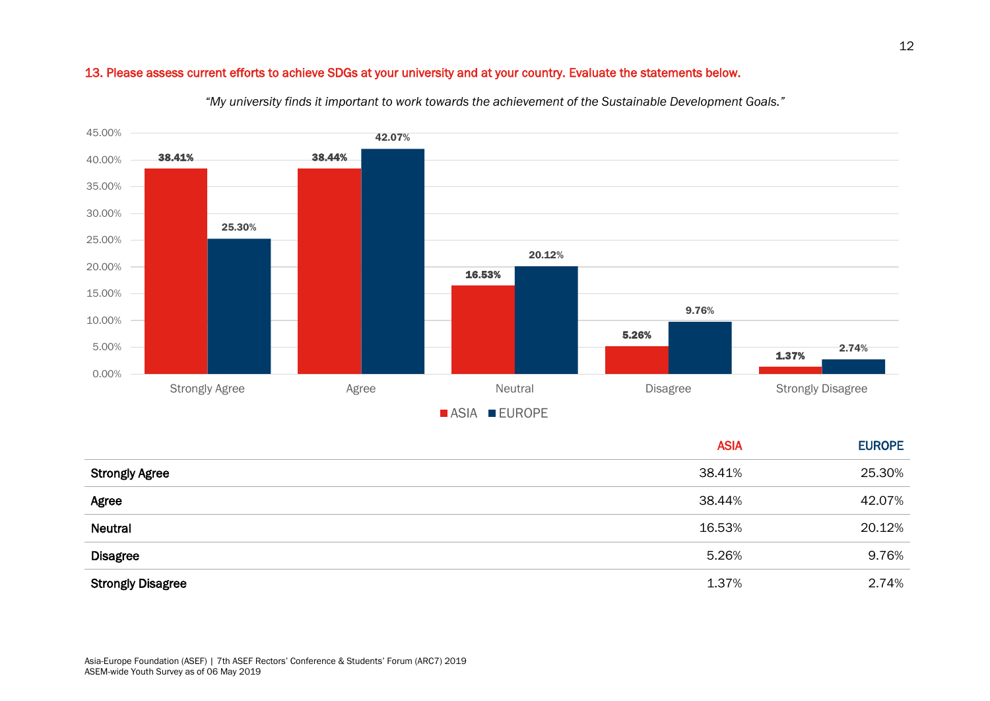## 13. Please assess current efforts to achieve SDGs at your university and at your country. Evaluate the statements below.



*"My university finds it important to work towards the achievement of the Sustainable Development Goals."*

|                          | <b>ASIA</b> | <b>EUROPE</b> |
|--------------------------|-------------|---------------|
| <b>Strongly Agree</b>    | 38.41%      | 25.30%        |
| Agree                    | 38.44%      | 42.07%        |
| <b>Neutral</b>           | 16.53%      | 20.12%        |
| <b>Disagree</b>          | 5.26%       | 9.76%         |
| <b>Strongly Disagree</b> | 1.37%       | 2.74%         |

12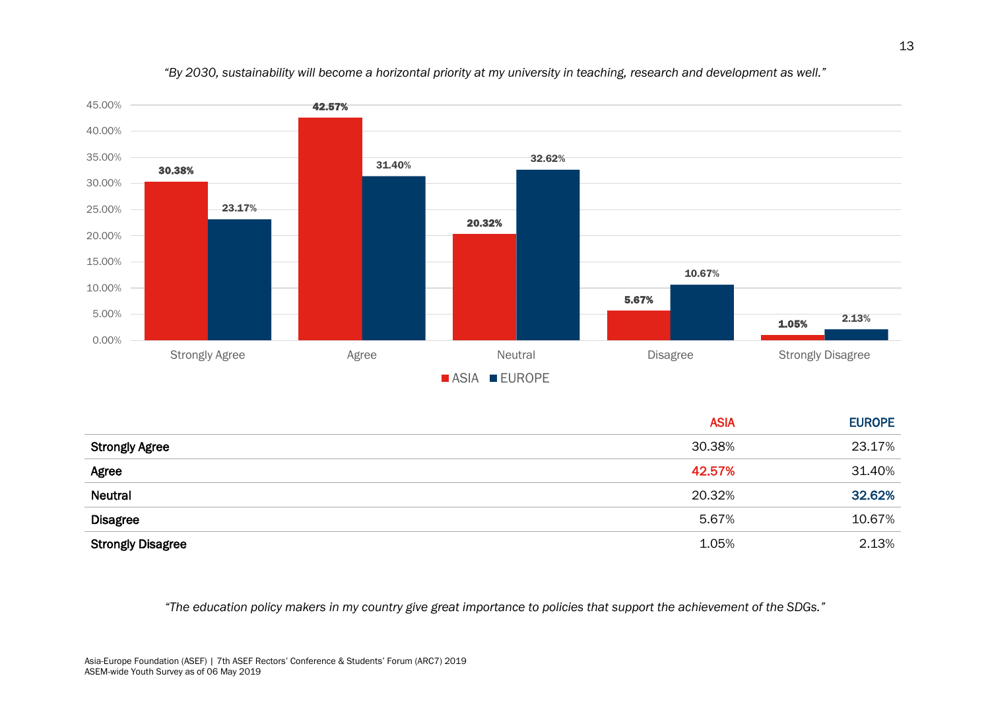

*"By 2030, sustainability will become a horizontal priority at my university in teaching, research and development as well."*

|                          | <b>ASIA</b> | <b>EUROPE</b> |
|--------------------------|-------------|---------------|
| <b>Strongly Agree</b>    | 30.38%      | 23.17%        |
| Agree                    | 42.57%      | 31.40%        |
| Neutral                  | 20.32%      | 32.62%        |
| <b>Disagree</b>          | 5.67%       | 10.67%        |
| <b>Strongly Disagree</b> | 1.05%       | 2.13%         |

*"The education policy makers in my country give great importance to policies that support the achievement of the SDGs."*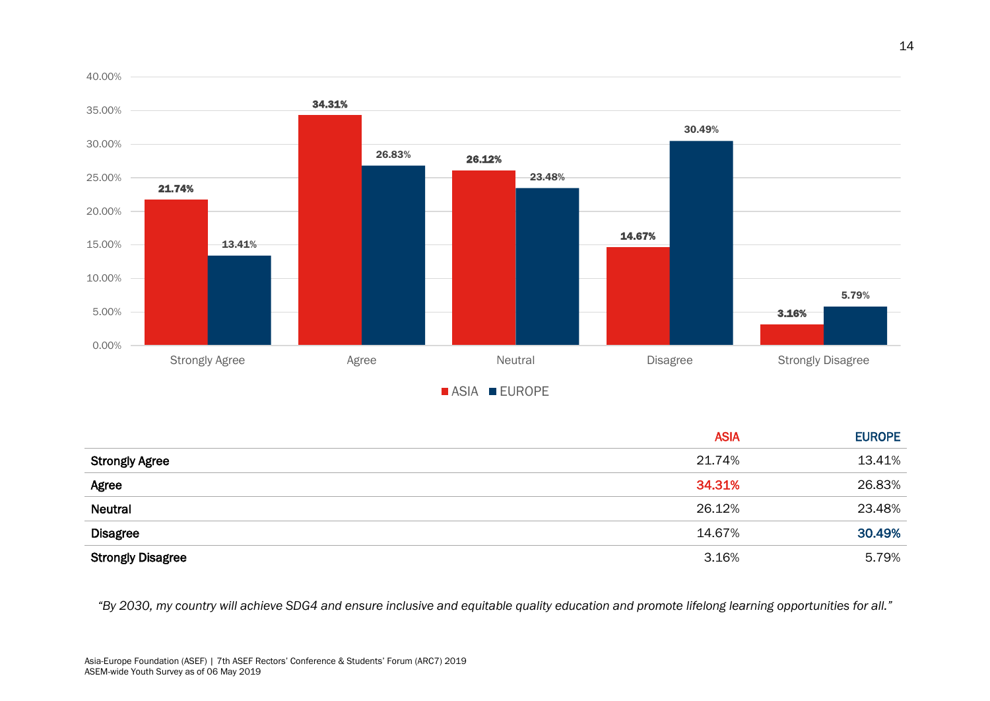

|                          | <b>ASIA</b> | <b>EUROPE</b> |
|--------------------------|-------------|---------------|
| <b>Strongly Agree</b>    | 21.74%      | 13.41%        |
| Agree                    | 34.31%      | 26.83%        |
| <b>Neutral</b>           | 26.12%      | 23.48%        |
| <b>Disagree</b>          | 14.67%      | 30.49%        |
| <b>Strongly Disagree</b> | 3.16%       | 5.79%         |

*"By 2030, my country will achieve SDG4 and ensure inclusive and equitable quality education and promote lifelong learning opportunities for all."*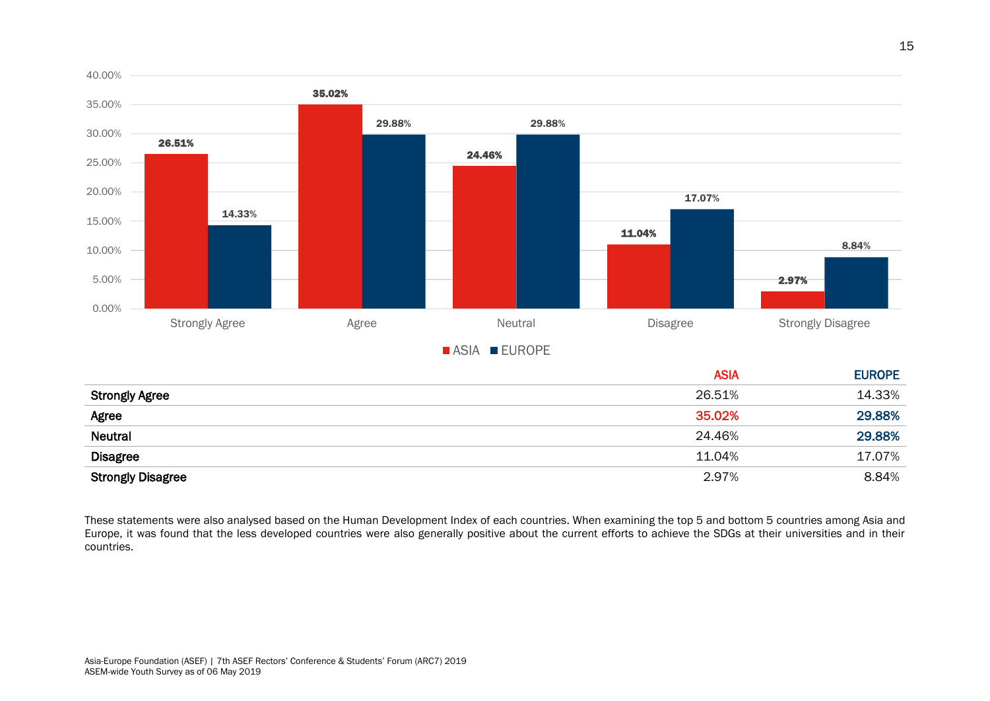

| <b>Strongly Agree</b>    | 26.51% | 14.33% |
|--------------------------|--------|--------|
| Agree                    | 35.02% | 29.88% |
| <b>Neutral</b>           | 24.46% | 29.88% |
| <b>Disagree</b>          | 11.04% | 17.07% |
| <b>Strongly Disagree</b> | 2.97%  | 8.84%  |

These statements were also analysed based on the Human Development Index of each countries. When examining the top 5 and bottom 5 countries among Asia and Europe, it was found that the less developed countries were also generally positive about the current efforts to achieve the SDGs at their universities and in their countries.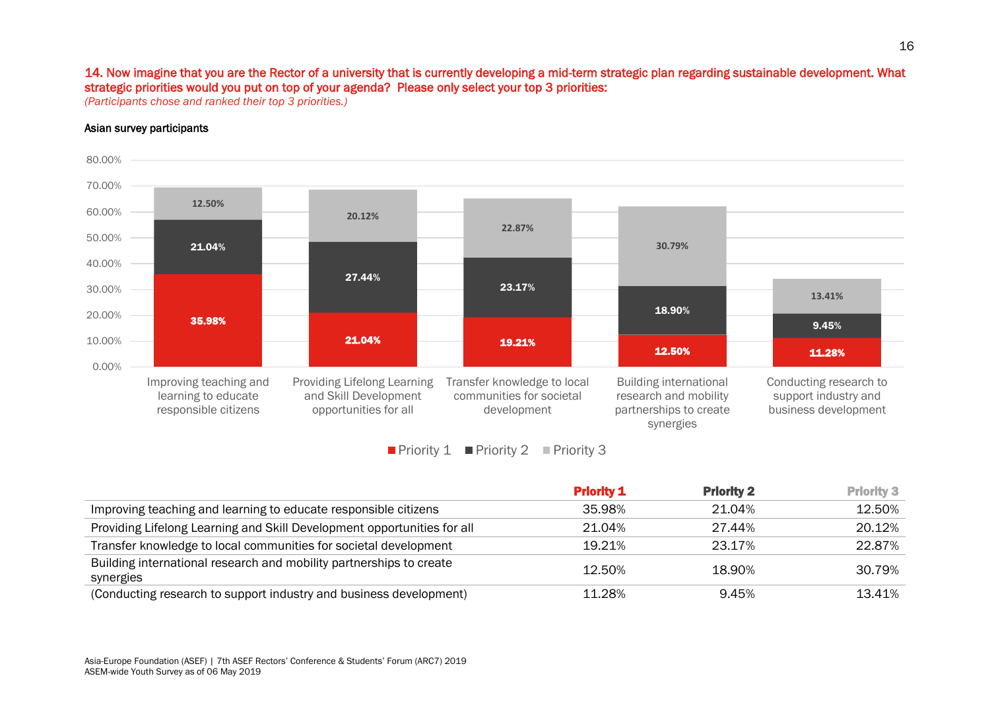## 14. Now imagine that you are the Rector of a university that is currently developing a mid-term strategic plan regarding sustainable development. What strategic priorities would you put on top of your agenda? Please only select your top 3 priorities:

*(Participants chose and ranked their top 3 priorities.)*

### Asian survey participants





|                                                                                  | <b>Priority 1</b> | <b>Priority 2</b> | <b>Priority 3</b> |
|----------------------------------------------------------------------------------|-------------------|-------------------|-------------------|
| Improving teaching and learning to educate responsible citizens                  | 35.98%            | 21.04%            | 12.50%            |
| Providing Lifelong Learning and Skill Development opportunities for all          | 21.04%            | 27.44%            | 20.12%            |
| Transfer knowledge to local communities for societal development                 | 19.21%            | 23.17%            | 22.87%            |
| Building international research and mobility partnerships to create<br>synergies | 12.50%            | 18.90%            | 30.79%            |
| (Conducting research to support industry and business development)               | 11.28%            | 9.45%             | 13.41%            |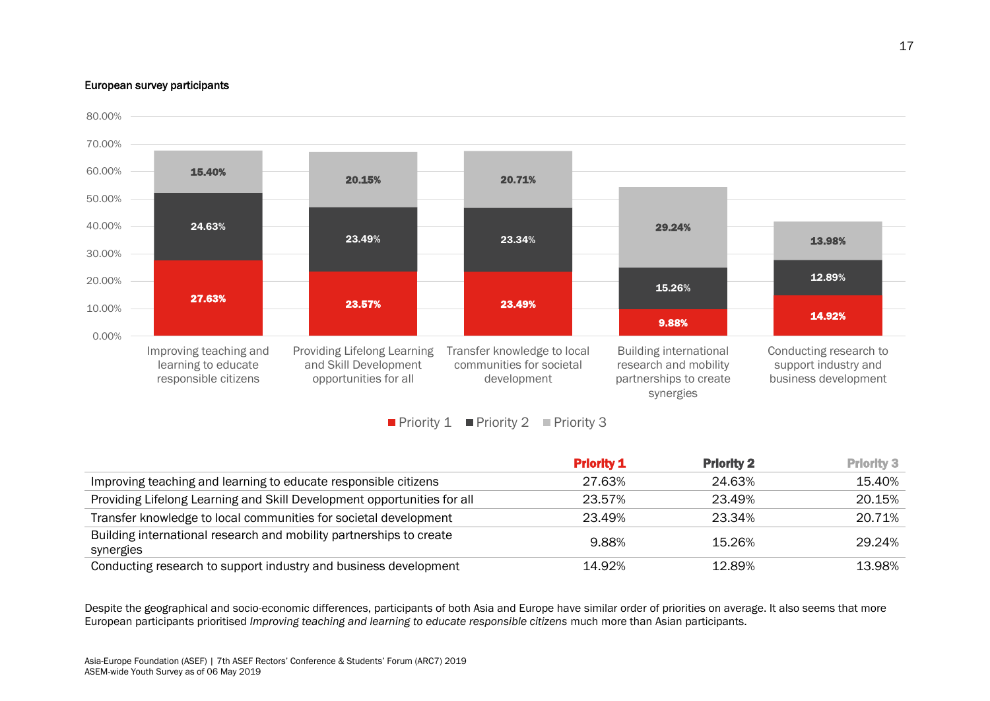#### European survey participants



Priority 1 Priority 2 Priority 3

|                                                                                  | <b>Priority 1</b> | <b>Priority 2</b> | <b>Priority 3</b> |
|----------------------------------------------------------------------------------|-------------------|-------------------|-------------------|
| Improving teaching and learning to educate responsible citizens                  | 27.63%            | 24.63%            | 15.40%            |
| Providing Lifelong Learning and Skill Development opportunities for all          | 23.57%            | 23.49%            | 20.15%            |
| Transfer knowledge to local communities for societal development                 | 23.49%            | 23.34%            | 20.71%            |
| Building international research and mobility partnerships to create<br>synergies | 9.88%             | 15.26%            | 29.24%            |
| Conducting research to support industry and business development                 | 14.92%            | 12.89%            | 13.98%            |

Despite the geographical and socio-economic differences, participants of both Asia and Europe have similar order of priorities on average. It also seems that more European participants prioritised *Improving teaching and learning to educate responsible citizens* much more than Asian participants.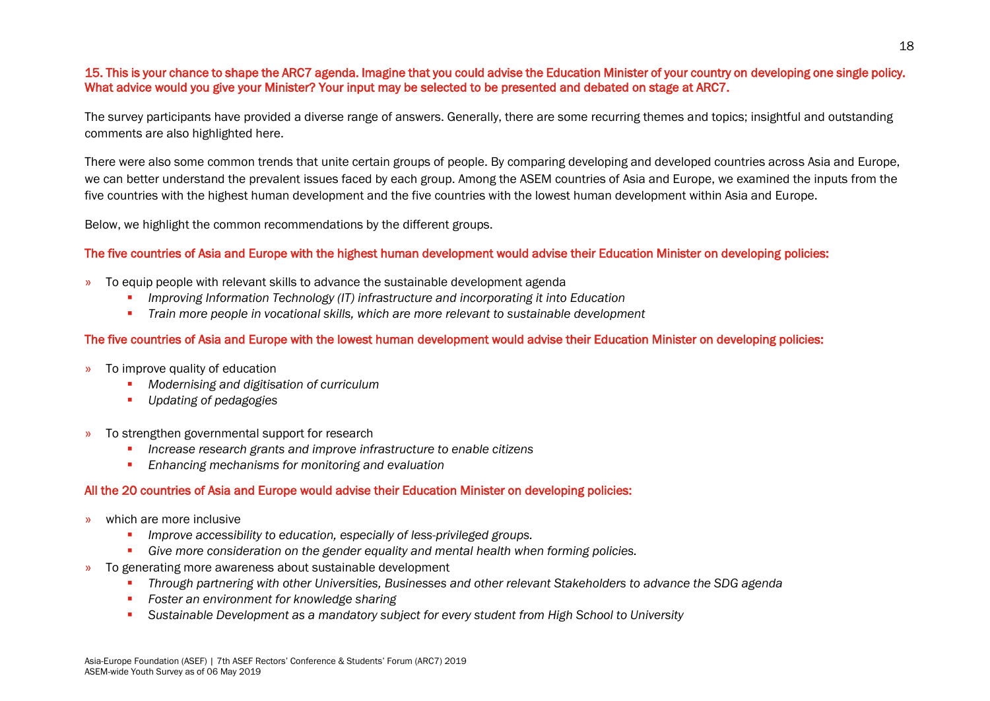## 15. This is your chance to shape the ARC7 agenda. Imagine that you could advise the Education Minister of your country on developing one single policy. What advice would you give your Minister? Your input may be selected to be presented and debated on stage at ARC7.

The survey participants have provided a diverse range of answers. Generally, there are some recurring themes and topics; insightful and outstanding comments are also highlighted here.

There were also some common trends that unite certain groups of people. By comparing developing and developed countries across Asia and Europe, we can better understand the prevalent issues faced by each group. Among the ASEM countries of Asia and Europe, we examined the inputs from the five countries with the highest human development and the five countries with the lowest human development within Asia and Europe.

Below, we highlight the common recommendations by the different groups.

## The five countries of Asia and Europe with the highest human development would advise their Education Minister on developing policies:

- » To equip people with relevant skills to advance the sustainable development agenda
	- *Improving Information Technology (IT) infrastructure and incorporating it into Education*
	- **•** *Train more people in vocational skills, which are more relevant to sustainable development*

## The five countries of Asia and Europe with the lowest human development would advise their Education Minister on developing policies:

- » To improve quality of education
	- *Modernising and digitisation of curriculum*
	- *Updating of pedagogies*
- » To strengthen governmental support for research
	- *Increase research grants and improve infrastructure to enable citizens*
	- *Enhancing mechanisms for monitoring and evaluation*

## All the 20 countries of Asia and Europe would advise their Education Minister on developing policies:

- » which are more inclusive
	- *Improve accessibility to education, especially of less-privileged groups.*
	- *Give more consideration on the gender equality and mental health when forming policies.*
- <span id="page-18-0"></span>» To generating more awareness about sustainable development
	- *Through partnering with other Universities, Businesses and other relevant Stakeholders to advance the SDG agenda*
	- *Foster an environment for knowledge sharing*
	- Sustainable Development as a mandatory subject for every student from High School to University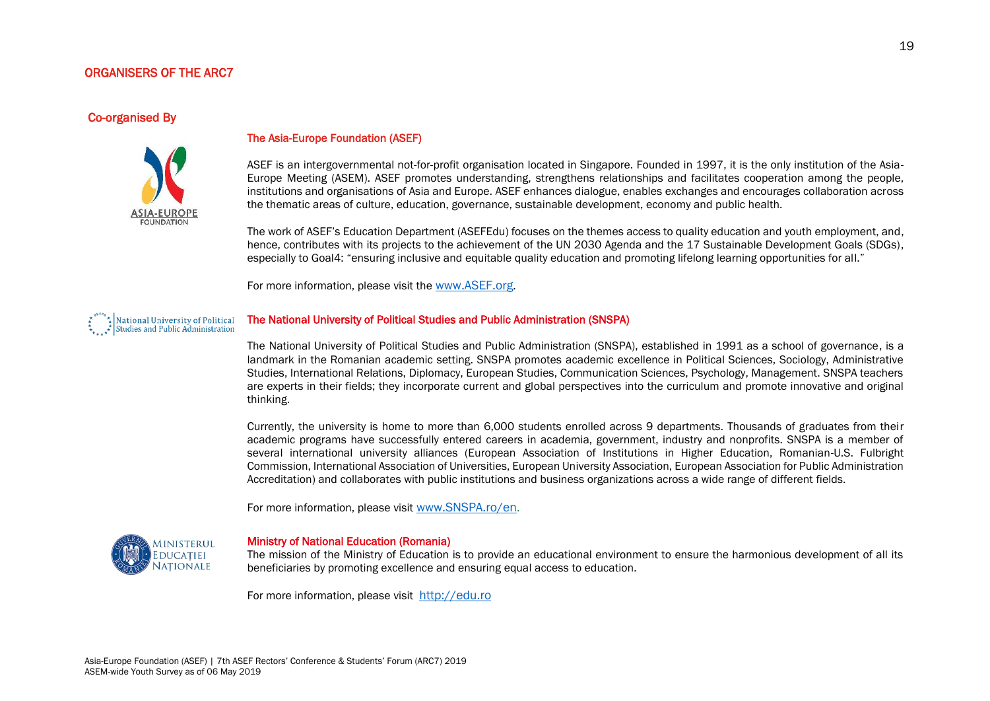#### ORGANISERS OF THE ARC7

#### Co-organised By



#### The Asia-Europe Foundation (ASEF)

ASEF is an intergovernmental not-for-profit organisation located in Singapore. Founded in 1997, it is the only institution of the Asia-Europe Meeting (ASEM). ASEF promotes understanding, strengthens relationships and facilitates cooperation among the people, institutions and organisations of Asia and Europe. ASEF enhances dialogue, enables exchanges and encourages collaboration across the thematic areas of culture, education, governance, sustainable development, economy and public health.

The work of ASEF's Education Department (ASEFEdu) focuses on the themes access to quality education and youth employment, and, hence, contributes with its projects to the achievement of the UN 2030 Agenda and the 17 Sustainable Development Goals (SDGs), especially to Goal4: "ensuring inclusive and equitable quality education and promoting lifelong learning opportunities for all."

For more information, please visit the [www.ASEF.org](http://www.asef.org/).

## National University of Political<br>Studies and Public Administration

#### The National University of Political Studies and Public Administration (SNSPA)

The National University of Political Studies and Public Administration (SNSPA), established in 1991 as a school of governance, is a landmark in the Romanian academic setting. SNSPA promotes academic excellence in Political Sciences, Sociology, Administrative Studies, International Relations, Diplomacy, European Studies, Communication Sciences, Psychology, Management. SNSPA teachers are experts in their fields; they incorporate current and global perspectives into the curriculum and promote innovative and original thinking.

Currently, the university is home to more than 6,000 students enrolled across 9 departments. Thousands of graduates from their academic programs have successfully entered careers in academia, government, industry and nonprofits. SNSPA is a member of several international university alliances (European Association of Institutions in Higher Education, Romanian-U.S. Fulbright Commission, International Association of Universities, European University Association, European Association for Public Administration Accreditation) and collaborates with public institutions and business organizations across a wide range of different fields.

For more information, please visit [www.SNSPA.ro/en](http://www.snspa.ro/en).



#### Ministry of National Education (Romania)

The mission of the Ministry of Education is to provide an educational environment to ensure the harmonious development of all its beneficiaries by promoting excellence and ensuring equal access to education.

For more information, please visit [http://edu.ro](http://edu.ro/)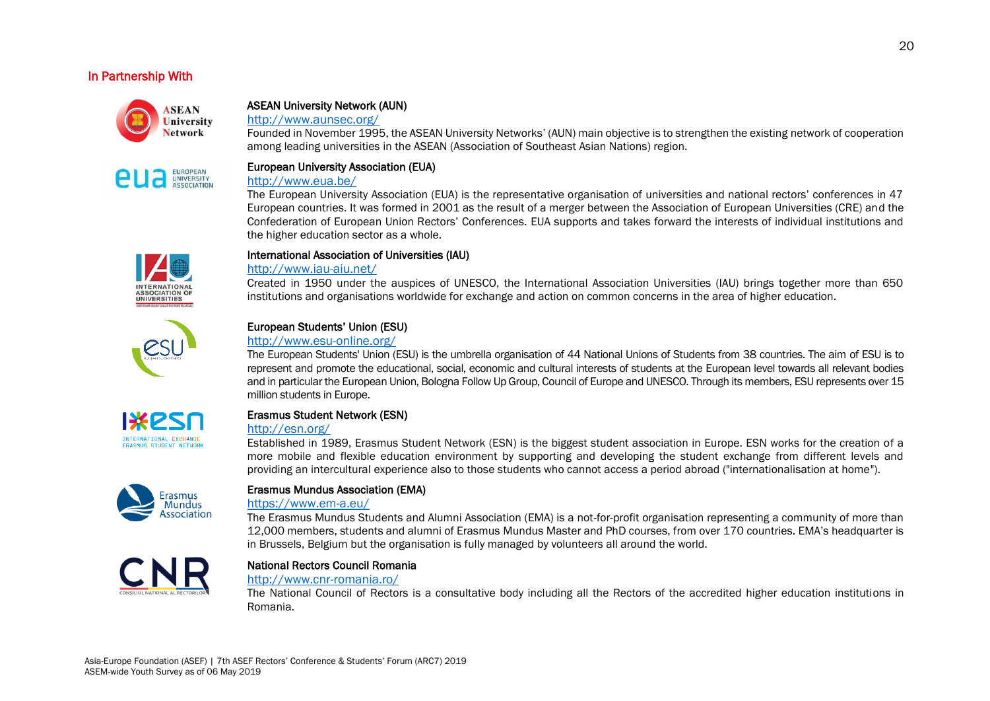## In Partnership With



UNIVERSITY ASSOCIATION

## ASEAN University Network (AUN)

<http://www.aunsec.org/>

Founded in November 1995, the ASEAN University Networks' (AUN) main objective is to strengthen the existing network of cooperation among leading universities in the ASEAN (Association of Southeast Asian Nations) region.

## European University Association (EUA)

#### <http://www.eua.be/>

The European University Association (EUA) is the representative organisation of universities and national rectors' conferences in 47 European countries. It was formed in 2001 as the result of a merger between the Association of European Universities (CRE) and the Confederation of European Union Rectors' Conferences. EUA supports and takes forward the interests of individual institutions and the higher education sector as a whole.



#### International Association of Universities (IAU)

#### <http://www.iau-aiu.net/>

Created in 1950 under the auspices of UNESCO, the International Association Universities (IAU) brings together more than 650 institutions and organisations worldwide for exchange and action on common concerns in the area of higher education.



### European Students' Union (ESU)

#### <http://www.esu-online.org/>

The European Students' Union (ESU) is the umbrella organisation of 44 National Unions of Students from 38 countries. The aim of ESU is to represent and promote the educational, social, economic and cultural interests of students at the European level towards all relevant bodies and in particular the European Union, Bologna Follow Up Group, Council of Europe and UNESCO. Through its members, ESU represents over 15 million students in Europe.



## Erasmus Student Network (ESN)

## <http://esn.org/>

Established in 1989, Erasmus Student Network (ESN) is the biggest student association in Europe. ESN works for the creation of a more mobile and flexible education environment by supporting and developing the student exchange from different levels and providing an intercultural experience also to those students who cannot access a period abroad ("internationalisation at home").



### Erasmus Mundus Association (EMA)

#### <https://www.em-a.eu/>

The Erasmus Mundus Students and Alumni Association (EMA) is a not-for-profit organisation representing a community of more than 12,000 members, students and alumni of Erasmus Mundus Master and PhD courses, from over 170 countries. EMA's headquarter is in Brussels, Belgium but the organisation is fully managed by volunteers all around the world.



#### National Rectors Council Romania

#### <http://www.cnr-romania.ro/>

The National Council of Rectors is a consultative body including all the Rectors of the accredited higher education institutions in Romania.